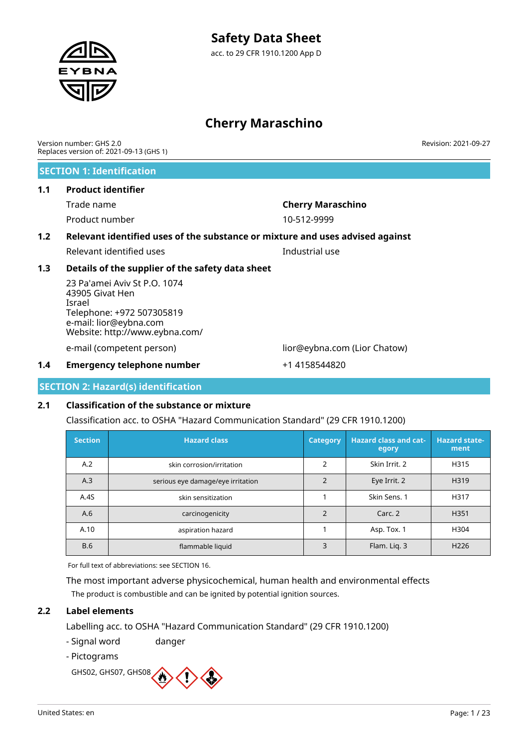# **Cherry Maraschino**

| Version number: GHS 2.0 |                                         |
|-------------------------|-----------------------------------------|
|                         | Replaces version of: 2021-09-13 (GHS 1) |

### **SECTION 1: Identification**

### **1.1 Product identifier**

Product number 10-512-9999

# Trade name **Cherry Maraschino**

# **1.2 Relevant identified uses of the substance or mixture and uses advised against**

Relevant identified uses **Industrial use** 

### **1.3 Details of the supplier of the safety data sheet**

23 Pa'amei Aviv St P.O. 1074 43905 Givat Hen Israel Telephone: +972 507305819 e-mail: lior@eybna.com Website: http://www.eybna.com/

e-mail (competent person) lior@eybna.com (Lior Chatow)

### **1.4 Emergency telephone number** +1 4158544820

**SECTION 2: Hazard(s) identification**

### **2.1 Classification of the substance or mixture**

Classification acc. to OSHA "Hazard Communication Standard" (29 CFR 1910.1200)

| <b>Section</b> | <b>Hazard class</b>               | <b>Category</b> | <b>Hazard class and cat-</b><br>egory | <b>Hazard state-</b><br>ment |
|----------------|-----------------------------------|-----------------|---------------------------------------|------------------------------|
| A.2            | skin corrosion/irritation         | 2               | Skin Irrit, 2                         | H315                         |
| A.3            | serious eye damage/eye irritation |                 | Eye Irrit. 2                          | H319                         |
| A.4S           | skin sensitization                |                 | Skin Sens. 1                          | H317                         |
| A.6            | carcinogenicity                   | $\mathfrak{p}$  | Carc. 2                               | H <sub>351</sub>             |
| A.10           | aspiration hazard                 |                 | Asp. Tox. 1                           | H304                         |
| <b>B.6</b>     | flammable liquid                  | 3               | Flam. Lig. 3                          | H <sub>226</sub>             |

For full text of abbreviations: see SECTION 16.

The most important adverse physicochemical, human health and environmental effects The product is combustible and can be ignited by potential ignition sources.

### **2.2 Label elements**

Labelling acc. to OSHA "Hazard Communication Standard" (29 CFR 1910.1200)

- Signal word danger
- Pictograms

GHS02, GHS07, GHS08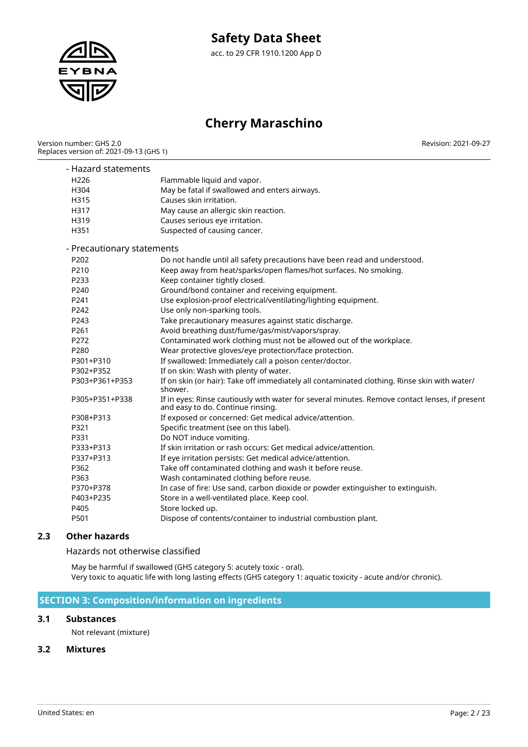

# **Cherry Maraschino**

Version number: GHS 2.0 Replaces version of: 2021-09-13 (GHS 1) Revision: 2021-09-27

| Hazard statements          |                                                                                                                                     |
|----------------------------|-------------------------------------------------------------------------------------------------------------------------------------|
| H <sub>226</sub>           | Flammable liquid and vapor.                                                                                                         |
| H304                       | May be fatal if swallowed and enters airways.                                                                                       |
| H315                       | Causes skin irritation.                                                                                                             |
| H317                       | May cause an allergic skin reaction.                                                                                                |
| H319                       | Causes serious eye irritation.                                                                                                      |
| H351                       | Suspected of causing cancer.                                                                                                        |
| - Precautionary statements |                                                                                                                                     |
| P202                       | Do not handle until all safety precautions have been read and understood.                                                           |
| P210                       | Keep away from heat/sparks/open flames/hot surfaces. No smoking.                                                                    |
| P233                       | Keep container tightly closed.                                                                                                      |
| P240                       | Ground/bond container and receiving equipment.                                                                                      |
| P241                       | Use explosion-proof electrical/ventilating/lighting equipment.                                                                      |
| P242                       | Use only non-sparking tools.                                                                                                        |
| P243                       | Take precautionary measures against static discharge.                                                                               |
| P261                       | Avoid breathing dust/fume/gas/mist/vapors/spray.                                                                                    |
| P272                       | Contaminated work clothing must not be allowed out of the workplace.                                                                |
| P280                       | Wear protective gloves/eye protection/face protection.                                                                              |
| P301+P310                  | If swallowed: Immediately call a poison center/doctor.                                                                              |
| P302+P352                  | If on skin: Wash with plenty of water.                                                                                              |
| P303+P361+P353             | If on skin (or hair): Take off immediately all contaminated clothing. Rinse skin with water/<br>shower.                             |
| P305+P351+P338             | If in eyes: Rinse cautiously with water for several minutes. Remove contact lenses, if present<br>and easy to do. Continue rinsing. |
| P308+P313                  | If exposed or concerned: Get medical advice/attention.                                                                              |
| P321                       | Specific treatment (see on this label).                                                                                             |
| P331                       | Do NOT induce vomiting.                                                                                                             |
| P333+P313                  | If skin irritation or rash occurs: Get medical advice/attention.                                                                    |
| P337+P313                  | If eye irritation persists: Get medical advice/attention.                                                                           |
| P362                       | Take off contaminated clothing and wash it before reuse.                                                                            |
| P363                       | Wash contaminated clothing before reuse.                                                                                            |
| P370+P378                  | In case of fire: Use sand, carbon dioxide or powder extinguisher to extinguish.                                                     |
| P403+P235                  | Store in a well-ventilated place. Keep cool.                                                                                        |
| P405                       | Store locked up.                                                                                                                    |
| P501                       | Dispose of contents/container to industrial combustion plant.                                                                       |

### **2.3 Other hazards**

Hazards not otherwise classified

May be harmful if swallowed (GHS category 5: acutely toxic - oral). Very toxic to aquatic life with long lasting effects (GHS category 1: aquatic toxicity - acute and/or chronic).

### **SECTION 3: Composition/information on ingredients**

### **3.1 Substances**

Not relevant (mixture)

### **3.2 Mixtures**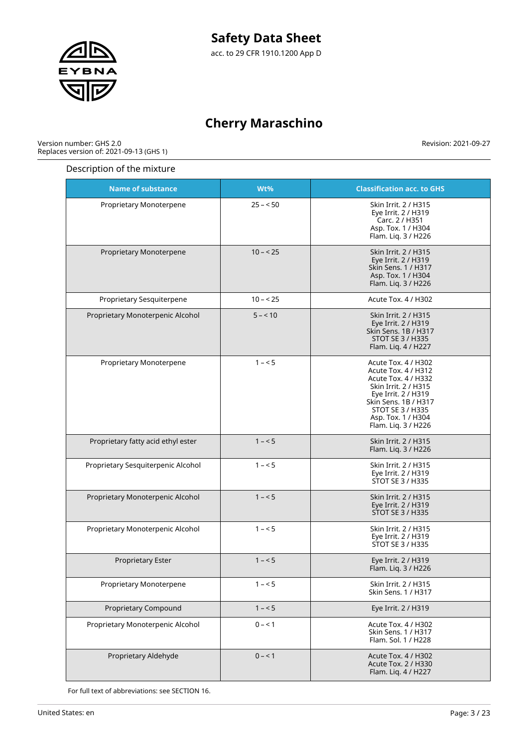

# **Cherry Maraschino**

Version number: GHS 2.0 Replaces version of: 2021-09-13 (GHS 1) Revision: 2021-09-27

### Description of the mixture

| <b>Name of substance</b>           | Wt%       | <b>Classification acc. to GHS</b>                                                                                                                                                                         |
|------------------------------------|-----------|-----------------------------------------------------------------------------------------------------------------------------------------------------------------------------------------------------------|
| Proprietary Monoterpene            | $25 - 50$ | Skin Irrit. 2 / H315<br>Eye Irrit. 2 / H319<br>Carc. 2 / H351<br>Asp. Tox. 1 / H304<br>Flam. Liq. 3 / H226                                                                                                |
| Proprietary Monoterpene            | $10 - 25$ | Skin Irrit. 2 / H315<br>Eye Irrit. 2 / H319<br>Skin Sens. 1 / H317<br>Asp. Tox. 1 / H304<br>Flam. Liq. 3 / H226                                                                                           |
| Proprietary Sesquiterpene          | $10 - 25$ | Acute Tox. 4 / H302                                                                                                                                                                                       |
| Proprietary Monoterpenic Alcohol   | $5 - 10$  | Skin Irrit. 2 / H315<br>Eye Irrit. 2 / H319<br>Skin Sens. 1B / H317<br><b>STOT SE 3 / H335</b><br>Flam. Liq. 4 / H227                                                                                     |
| Proprietary Monoterpene            | $1 - 5$   | Acute Tox. 4 / H302<br>Acute Tox. 4 / H312<br>Acute Tox. 4 / H332<br>Skin Irrit. 2 / H315<br>Eye Irrit. 2 / H319<br>Skin Sens. 1B / H317<br>STOT SE 3 / H335<br>Asp. Tox. 1 / H304<br>Flam. Liq. 3 / H226 |
| Proprietary fatty acid ethyl ester | $1 - 5$   | Skin Irrit. 2 / H315<br>Flam. Liq. 3 / H226                                                                                                                                                               |
| Proprietary Sesquiterpenic Alcohol | $1 - 5$   | Skin Irrit. 2 / H315<br>Eye Irrit. 2 / H319<br>STOT SE 3 / H335                                                                                                                                           |
| Proprietary Monoterpenic Alcohol   | $1 - 5$   | Skin Irrit. 2 / H315<br>Eye Irrit. 2 / H319<br><b>STOT SE 3 / H335</b>                                                                                                                                    |
| Proprietary Monoterpenic Alcohol   | $1 - 5$   | Skin Irrit. 2 / H315<br>Eye Irrit. 2 / H319<br>STOT SE 3 / H335                                                                                                                                           |
| Proprietary Ester                  | $1 - 5$   | Eye Irrit. 2 / H319<br>Flam. Liq. 3 / H226                                                                                                                                                                |
| Proprietary Monoterpene            | $1 - 5$   | Skin Irrit. 2 / H315<br>Skin Sens. 1 / H317                                                                                                                                                               |
| <b>Proprietary Compound</b>        | $1 - 5$   | Eye Irrit. 2 / H319                                                                                                                                                                                       |
| Proprietary Monoterpenic Alcohol   | $0 - 1$   | Acute Tox. 4 / H302<br>Skin Sens. 1 / H317<br>Flam. Sol. 1 / H228                                                                                                                                         |
| Proprietary Aldehyde               | $0 - 1$   | Acute Tox. 4 / H302<br>Acute Tox. 2 / H330<br>Flam. Liq. 4 / H227                                                                                                                                         |

For full text of abbreviations: see SECTION 16.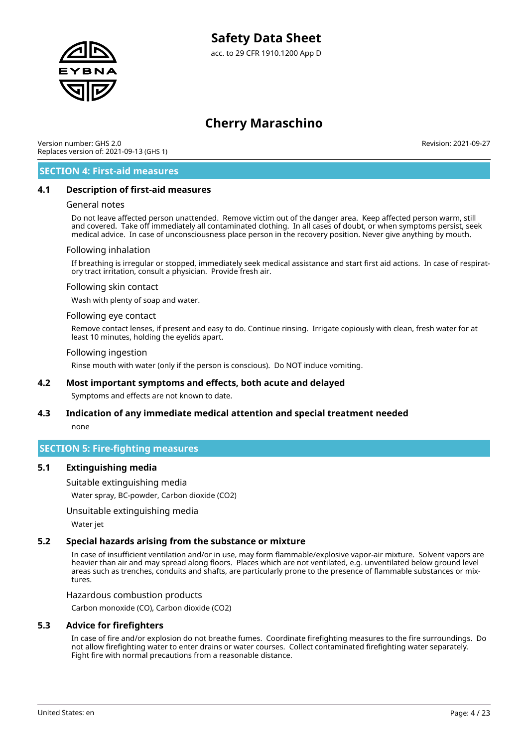

Version number: GHS 2.0 Replaces version of: 2021-09-13 (GHS 1) Revision: 2021-09-27

### **SECTION 4: First-aid measures**

### **4.1 Description of first-aid measures**

#### General notes

Do not leave affected person unattended. Remove victim out of the danger area. Keep affected person warm, still and covered. Take off immediately all contaminated clothing. In all cases of doubt, or when symptoms persist, seek medical advice. In case of unconsciousness place person in the recovery position. Never give anything by mouth.

#### Following inhalation

If breathing is irregular or stopped, immediately seek medical assistance and start first aid actions. In case of respiratory tract irritation, consult a physician. Provide fresh air.

#### Following skin contact

Wash with plenty of soap and water.

#### Following eye contact

Remove contact lenses, if present and easy to do. Continue rinsing. Irrigate copiously with clean, fresh water for at least 10 minutes, holding the eyelids apart.

#### Following ingestion

Rinse mouth with water (only if the person is conscious). Do NOT induce vomiting.

### **4.2 Most important symptoms and effects, both acute and delayed**

Symptoms and effects are not known to date.

# **4.3 Indication of any immediate medical attention and special treatment needed**

none

### **SECTION 5: Fire-fighting measures**

### **5.1 Extinguishing media**

Suitable extinguishing media

Water spray, BC-powder, Carbon dioxide (CO2)

### Unsuitable extinguishing media

Water jet

### **5.2 Special hazards arising from the substance or mixture**

In case of insufficient ventilation and/or in use, may form flammable/explosive vapor-air mixture. Solvent vapors are heavier than air and may spread along floors. Places which are not ventilated, e.g. unventilated below ground level areas such as trenches, conduits and shafts, are particularly prone to the presence of flammable substances or mixtures.

#### Hazardous combustion products

Carbon monoxide (CO), Carbon dioxide (CO2)

### **5.3 Advice for firefighters**

In case of fire and/or explosion do not breathe fumes. Coordinate firefighting measures to the fire surroundings. Do not allow firefighting water to enter drains or water courses. Collect contaminated firefighting water separately. Fight fire with normal precautions from a reasonable distance.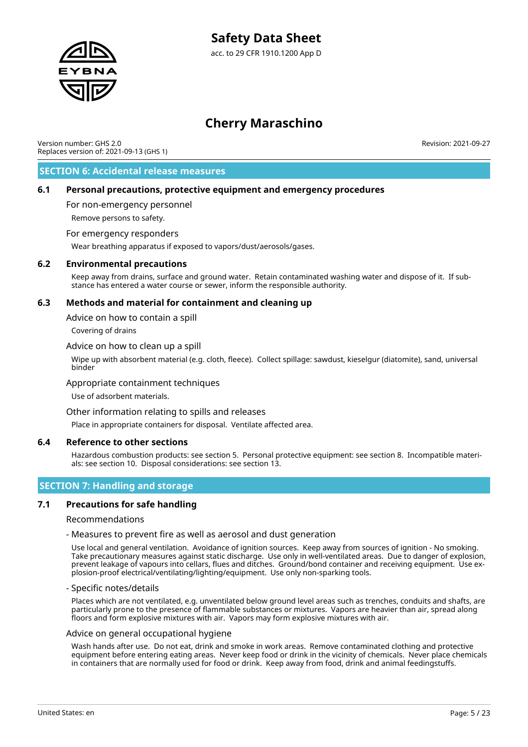

# **Cherry Maraschino**

Version number: GHS 2.0 Replaces version of: 2021-09-13 (GHS 1) Revision: 2021-09-27

### **SECTION 6: Accidental release measures**

### **6.1 Personal precautions, protective equipment and emergency procedures**

For non-emergency personnel

Remove persons to safety.

### For emergency responders

Wear breathing apparatus if exposed to vapors/dust/aerosols/gases.

### **6.2 Environmental precautions**

Keep away from drains, surface and ground water. Retain contaminated washing water and dispose of it. If substance has entered a water course or sewer, inform the responsible authority.

### **6.3 Methods and material for containment and cleaning up**

Advice on how to contain a spill

Covering of drains

#### Advice on how to clean up a spill

Wipe up with absorbent material (e.g. cloth, fleece). Collect spillage: sawdust, kieselgur (diatomite), sand, universal binder

### Appropriate containment techniques

Use of adsorbent materials.

### Other information relating to spills and releases

Place in appropriate containers for disposal. Ventilate affected area.

### **6.4 Reference to other sections**

Hazardous combustion products: see section 5. Personal protective equipment: see section 8. Incompatible materials: see section 10. Disposal considerations: see section 13.

### **SECTION 7: Handling and storage**

### **7.1 Precautions for safe handling**

Recommendations

#### - Measures to prevent fire as well as aerosol and dust generation

Use local and general ventilation. Avoidance of ignition sources. Keep away from sources of ignition - No smoking. Take precautionary measures against static discharge. Use only in well-ventilated areas. Due to danger of explosion, prevent leakage of vapours into cellars, flues and ditches. Ground/bond container and receiving equipment. Use explosion-proof electrical/ventilating/lighting/equipment. Use only non-sparking tools.

#### - Specific notes/details

Places which are not ventilated, e.g. unventilated below ground level areas such as trenches, conduits and shafts, are particularly prone to the presence of flammable substances or mixtures. Vapors are heavier than air, spread along floors and form explosive mixtures with air. Vapors may form explosive mixtures with air.

#### Advice on general occupational hygiene

Wash hands after use. Do not eat, drink and smoke in work areas. Remove contaminated clothing and protective equipment before entering eating areas. Never keep food or drink in the vicinity of chemicals. Never place chemicals in containers that are normally used for food or drink. Keep away from food, drink and animal feedingstuffs.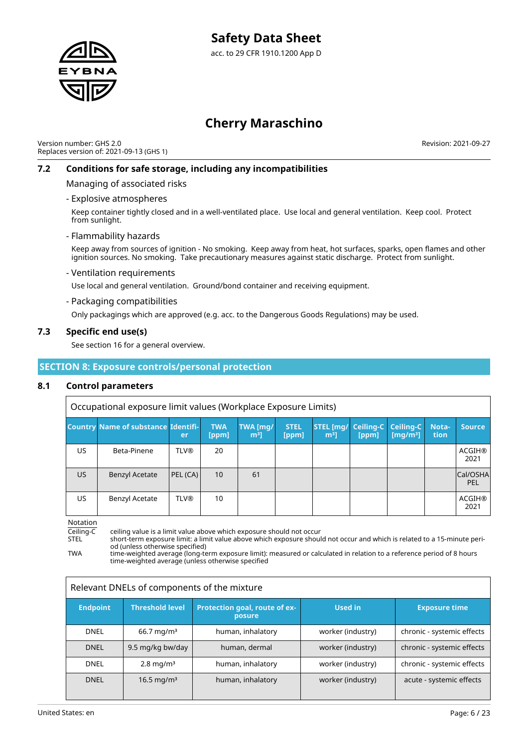

Version number: GHS 2.0 Replaces version of: 2021-09-13 (GHS 1) Revision: 2021-09-27

### **7.2 Conditions for safe storage, including any incompatibilities**

Managing of associated risks

### - Explosive atmospheres

Keep container tightly closed and in a well-ventilated place. Use local and general ventilation. Keep cool. Protect from sunlight.

### - Flammability hazards

Keep away from sources of ignition - No smoking. Keep away from heat, hot surfaces, sparks, open flames and other ignition sources. No smoking. Take precautionary measures against static discharge. Protect from sunlight.

### - Ventilation requirements

Use local and general ventilation. Ground/bond container and receiving equipment.

### - Packaging compatibilities

Only packagings which are approved (e.g. acc. to the Dangerous Goods Regulations) may be used.

### **7.3 Specific end use(s)**

See section 16 for a general overview.

### **SECTION 8: Exposure controls/personal protection**

### **8.1 Control parameters**

Occupational exposure limit values (Workplace Exposure Limits)

|           | <b>Country Name of substance Identifi-</b> | er          | <b>TWA</b><br>[ppm] | TWA [mg/<br>m <sup>3</sup> | <b>STEL</b><br>[ppm] | STEL [mg/ Ceiling-C Ceiling-C<br>m <sup>3</sup> 1 | [ppm] | [ $mq/m3$ ] | Nota-<br>tion | <b>Source</b>         |
|-----------|--------------------------------------------|-------------|---------------------|----------------------------|----------------------|---------------------------------------------------|-------|-------------|---------------|-----------------------|
| US        | Beta-Pinene                                | <b>TLV®</b> | 20                  |                            |                      |                                                   |       |             |               | <b>ACGIH®</b><br>2021 |
| <b>US</b> | <b>Benzyl Acetate</b>                      | PEL(CA)     | 10                  | 61                         |                      |                                                   |       |             |               | Cal/OSHA<br>PEL       |
| US        | <b>Benzyl Acetate</b>                      | <b>TLV®</b> | 10                  |                            |                      |                                                   |       |             |               | <b>ACGIH®</b><br>2021 |

Notation

Ceiling-C ceiling value is a limit value above which exposure should not occur

STEL short-term exposure limit: a limit value above which exposure should not occur and which is related to a 15-minute period (unless otherwise specified)

TWA time-weighted average (long-term exposure limit): measured or calculated in relation to a reference period of 8 hours time-weighted average (unless otherwise specified

| Relevant DNELs of components of the mixture |                          |                                         |                   |                            |  |  |
|---------------------------------------------|--------------------------|-----------------------------------------|-------------------|----------------------------|--|--|
| <b>Endpoint</b>                             | <b>Threshold level</b>   | Protection goal, route of ex-<br>posure | <b>Used in</b>    | <b>Exposure time</b>       |  |  |
| <b>DNEL</b>                                 | $66.7 \,\mathrm{mg/m^3}$ | human, inhalatory                       | worker (industry) | chronic - systemic effects |  |  |
| <b>DNEL</b>                                 | 9.5 mg/kg bw/day         | human, dermal                           | worker (industry) | chronic - systemic effects |  |  |
| <b>DNEL</b>                                 | $2.8 \,\mathrm{mg/m^3}$  | human, inhalatory                       | worker (industry) | chronic - systemic effects |  |  |
| <b>DNEL</b>                                 | 16.5 mg/m <sup>3</sup>   | human, inhalatory                       | worker (industry) | acute - systemic effects   |  |  |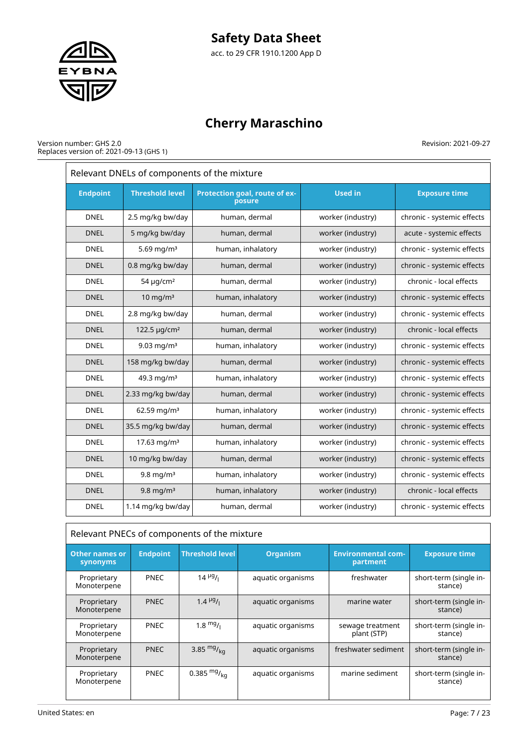# **Safety Data Sheet**





# **Cherry Maraschino**

#### Version number: GHS 2.0 Replaces version of: 2021-09-13 (GHS 1)

| Relevant DNELs of components of the mixture |                            |                                         |                   |                            |  |  |
|---------------------------------------------|----------------------------|-----------------------------------------|-------------------|----------------------------|--|--|
| <b>Endpoint</b>                             | <b>Threshold level</b>     | Protection goal, route of ex-<br>posure | <b>Used in</b>    | <b>Exposure time</b>       |  |  |
| <b>DNEL</b>                                 | 2.5 mg/kg bw/day           | human, dermal                           | worker (industry) | chronic - systemic effects |  |  |
| <b>DNEL</b>                                 | 5 mg/kg bw/day             | human, dermal                           | worker (industry) | acute - systemic effects   |  |  |
| <b>DNEL</b>                                 | 5.69 mg/m <sup>3</sup>     | human, inhalatory                       | worker (industry) | chronic - systemic effects |  |  |
| <b>DNEL</b>                                 | 0.8 mg/kg bw/day           | human, dermal                           | worker (industry) | chronic - systemic effects |  |  |
| <b>DNEL</b>                                 | 54 $\mu$ g/cm <sup>2</sup> | human, dermal                           | worker (industry) | chronic - local effects    |  |  |
| <b>DNEL</b>                                 | $10 \text{ mg/m}^3$        | human, inhalatory                       | worker (industry) | chronic - systemic effects |  |  |
| <b>DNEL</b>                                 | 2.8 mg/kg bw/day           | human, dermal                           | worker (industry) | chronic - systemic effects |  |  |
| <b>DNEL</b>                                 | 122.5 µg/cm <sup>2</sup>   | human, dermal                           | worker (industry) | chronic - local effects    |  |  |
| <b>DNEL</b>                                 | 9.03 mg/m <sup>3</sup>     | human, inhalatory                       | worker (industry) | chronic - systemic effects |  |  |
| <b>DNEL</b>                                 | 158 mg/kg bw/day           | human, dermal                           | worker (industry) | chronic - systemic effects |  |  |
| <b>DNEL</b>                                 | 49.3 mg/m <sup>3</sup>     | human, inhalatory                       | worker (industry) | chronic - systemic effects |  |  |
| <b>DNEL</b>                                 | 2.33 mg/kg bw/day          | human, dermal                           | worker (industry) | chronic - systemic effects |  |  |
| <b>DNEL</b>                                 | $62.59$ mg/m <sup>3</sup>  | human, inhalatory                       | worker (industry) | chronic - systemic effects |  |  |
| <b>DNEL</b>                                 | 35.5 mg/kg bw/day          | human, dermal                           | worker (industry) | chronic - systemic effects |  |  |
| <b>DNEL</b>                                 | 17.63 mg/m <sup>3</sup>    | human, inhalatory                       | worker (industry) | chronic - systemic effects |  |  |
| <b>DNEL</b>                                 | 10 mg/kg bw/day            | human, dermal                           | worker (industry) | chronic - systemic effects |  |  |
| <b>DNEL</b>                                 | $9.8$ mg/m <sup>3</sup>    | human, inhalatory                       | worker (industry) | chronic - systemic effects |  |  |
| <b>DNEL</b>                                 | $9.8$ mg/m <sup>3</sup>    | human, inhalatory                       | worker (industry) | chronic - local effects    |  |  |
| <b>DNEL</b>                                 | 1.14 mg/kg bw/day          | human, dermal                           | worker (industry) | chronic - systemic effects |  |  |

| Relevant PNECs of components of the mixture |                 |                        |                   |                                       |                                   |  |  |
|---------------------------------------------|-----------------|------------------------|-------------------|---------------------------------------|-----------------------------------|--|--|
| <b>Other names or</b><br>synonyms           | <b>Endpoint</b> | <b>Threshold level</b> | <b>Organism</b>   | <b>Environmental com-</b><br>partment | <b>Exposure time</b>              |  |  |
| Proprietary<br>Monoterpene                  | <b>PNEC</b>     | $14 \frac{\mu g}{\mu}$ | aquatic organisms | freshwater                            | short-term (single in-<br>stance) |  |  |
| Proprietary<br>Monoterpene                  | <b>PNEC</b>     | $1.4 \frac{\mu g}{I}$  | aquatic organisms | marine water                          | short-term (single in-<br>stance) |  |  |
| Proprietary<br>Monoterpene                  | <b>PNEC</b>     | $1.8 \frac{mg}{L}$     | aquatic organisms | sewage treatment<br>plant (STP)       | short-term (single in-<br>stance) |  |  |
| Proprietary<br>Monoterpene                  | <b>PNEC</b>     | 3.85 $mg/kq$           | aquatic organisms | freshwater sediment                   | short-term (single in-<br>stance) |  |  |
| Proprietary<br>Monoterpene                  | <b>PNEC</b>     | 0.385 $mg/_{ka}$       | aquatic organisms | marine sediment                       | short-term (single in-<br>stance) |  |  |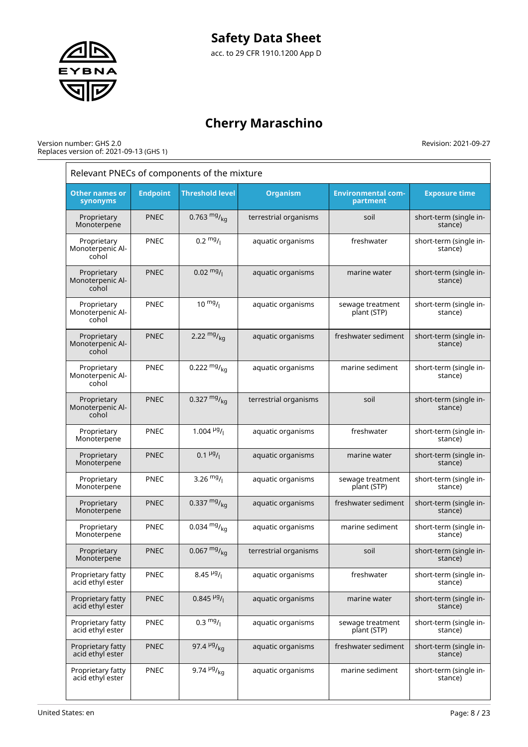

#### Version number: GHS 2.0 Replaces version of: 2021-09-13 (GHS 1)

|                                          | Relevant PNECs of components of the mixture |                                      |                       |                                       |                                   |  |  |
|------------------------------------------|---------------------------------------------|--------------------------------------|-----------------------|---------------------------------------|-----------------------------------|--|--|
| <b>Other names or</b><br>synonyms        | <b>Endpoint</b>                             | <b>Threshold level</b>               | <b>Organism</b>       | <b>Environmental com-</b><br>partment | <b>Exposure time</b>              |  |  |
| Proprietary<br>Monoterpene               | <b>PNEC</b>                                 | 0.763 $mg/kq$                        | terrestrial organisms | soil                                  | short-term (single in-<br>stance) |  |  |
| Proprietary<br>Monoterpenic Al-<br>cohol | <b>PNEC</b>                                 | $0.2 \frac{mg}{l}$                   | aquatic organisms     | freshwater                            | short-term (single in-<br>stance) |  |  |
| Proprietary<br>Monoterpenic Al-<br>cohol | <b>PNEC</b>                                 | $0.02 \frac{mg}{l}$                  | aquatic organisms     | marine water                          | short-term (single in-<br>stance) |  |  |
| Proprietary<br>Monoterpenic Al-<br>cohol | PNEC                                        | $10 \frac{mg}{l}$                    | aquatic organisms     | sewage treatment<br>plant (STP)       | short-term (single in-<br>stance) |  |  |
| Proprietary<br>Monoterpenic Al-<br>cohol | <b>PNEC</b>                                 | 2.22 $mg/_{kq}$                      | aquatic organisms     | freshwater sediment                   | short-term (single in-<br>stance) |  |  |
| Proprietary<br>Monoterpenic Al-<br>cohol | PNEC                                        | 0.222 $mg/kq$                        | aquatic organisms     | marine sediment                       | short-term (single in-<br>stance) |  |  |
| Proprietary<br>Monoterpenic Al-<br>cohol | <b>PNEC</b>                                 | 0.327 $mg/kq$                        | terrestrial organisms | soil                                  | short-term (single in-<br>stance) |  |  |
| Proprietary<br>Monoterpene               | <b>PNEC</b>                                 | 1.004 $\frac{\mu g}{I}$              | aquatic organisms     | freshwater                            | short-term (single in-<br>stance) |  |  |
| Proprietary<br>Monoterpene               | <b>PNEC</b>                                 | $0.1 \frac{\mu g}{I}$                | aquatic organisms     | marine water                          | short-term (single in-<br>stance) |  |  |
| Proprietary<br>Monoterpene               | <b>PNEC</b>                                 | 3.26 $mg/$                           | aquatic organisms     | sewage treatment<br>plant (STP)       | short-term (single in-<br>stance) |  |  |
| Proprietary<br>Monoterpene               | <b>PNEC</b>                                 | 0.337 $mg/kq$                        | aquatic organisms     | freshwater sediment                   | short-term (single in-<br>stance) |  |  |
| Proprietary<br>Monoterpene               | <b>PNEC</b>                                 | 0.034 $mg/kq$                        | aquatic organisms     | marine sediment                       | short-term (single in-<br>stance) |  |  |
| Proprietary<br>Monoterpene               | <b>PNEC</b>                                 | $0.067 \frac{mg}{kg}$                | terrestrial organisms | soil                                  | short-term (single in-<br>stance) |  |  |
| Proprietary fatty<br>acid ethyl ester    | <b>PNEC</b>                                 | 8.45 $\frac{\mu g}{I}$               | aquatic organisms     | freshwater                            | short-term (single in-<br>stance) |  |  |
| Proprietary fatty<br>acid ethyl ester    | <b>PNEC</b>                                 | $0.845$ <sup>µg</sup> / <sub>l</sub> | aquatic organisms     | marine water                          | short-term (single in-<br>stance) |  |  |
| Proprietary fatty<br>acid ethyl ester    | <b>PNEC</b>                                 | $0.3 \frac{mg}{l}$                   | aquatic organisms     | sewage treatment<br>plant (STP)       | short-term (single in-<br>stance) |  |  |
| Proprietary fatty<br>acid ethyl ester    | <b>PNEC</b>                                 | 97.4 $\frac{\mu g}{kq}$              | aquatic organisms     | freshwater sediment                   | short-term (single in-<br>stance) |  |  |
| Proprietary fatty<br>acid ethyl ester    | PNEC                                        | 9.74 $\frac{\mu g}{kq}$              | aquatic organisms     | marine sediment                       | short-term (single in-<br>stance) |  |  |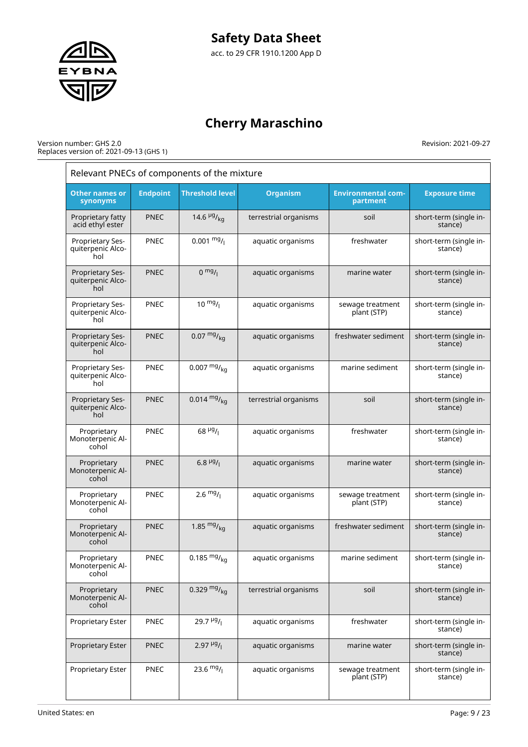

#### Version number: GHS 2.0 Replaces version of: 2021-09-13 (GHS 1)

| Relevant PNECs of components of the mixture  |                 |                                   |                       |                                       |                                   |  |
|----------------------------------------------|-----------------|-----------------------------------|-----------------------|---------------------------------------|-----------------------------------|--|
| <b>Other names or</b><br>synonyms            | <b>Endpoint</b> | <b>Threshold level</b>            | <b>Organism</b>       | <b>Environmental com-</b><br>partment | <b>Exposure time</b>              |  |
| Proprietary fatty<br>acid ethyl ester        | <b>PNEC</b>     | 14.6 $\frac{\mu g}{\kappa q}$     | terrestrial organisms | soil                                  | short-term (single in-<br>stance) |  |
| Proprietary Ses-<br>quiterpenic Alco-<br>hol | PNEC            | $0.001 \frac{mg}{l}$              | aquatic organisms     | freshwater                            | short-term (single in-<br>stance) |  |
| Proprietary Ses-<br>quiterpenic Alco-<br>hol | <b>PNEC</b>     | $0 \frac{mg}{l}$                  | aquatic organisms     | marine water                          | short-term (single in-<br>stance) |  |
| Proprietary Ses-<br>quiterpenic Alco-<br>hol | PNEC            | $10 \frac{mg}{l}$                 | aquatic organisms     | sewage treatment<br>plant (STP)       | short-term (single in-<br>stance) |  |
| Proprietary Ses-<br>quiterpenic Alco-<br>hol | <b>PNEC</b>     | $0.07 \frac{mg}{kg}$              | aquatic organisms     | freshwater sediment                   | short-term (single in-<br>stance) |  |
| Proprietary Ses-<br>quiterpenic Alco-<br>hol | PNEC            | $0.007 \frac{mg}{kg}$             | aquatic organisms     | marine sediment                       | short-term (single in-<br>stance) |  |
| Proprietary Ses-<br>quiterpenic Alco-<br>hol | <b>PNEC</b>     | $0.014 \frac{mg}{kg}$             | terrestrial organisms | soil                                  | short-term (single in-<br>stance) |  |
| Proprietary<br>Monoterpenic Al-<br>cohol     | <b>PNEC</b>     | $68$ <sup>µg</sup> / <sub>l</sub> | aquatic organisms     | freshwater                            | short-term (single in-<br>stance) |  |
| Proprietary<br>Monoterpenic Al-<br>cohol     | <b>PNEC</b>     | 6.8 $\mu$ g/                      | aquatic organisms     | marine water                          | short-term (single in-<br>stance) |  |
| Proprietary<br>Monoterpenic Al-<br>cohol     | <b>PNEC</b>     | $2.6 \frac{mg}{l}$                | aquatic organisms     | sewage treatment<br>plant (STP)       | short-term (single in-<br>stance) |  |
| Proprietary<br>Monoterpenic Al-<br>cohol     | <b>PNEC</b>     | 1.85 $mg/kq$                      | aquatic organisms     | freshwater sediment                   | short-term (single in-<br>stance) |  |
| Proprietary<br>Monoterpenic Al-<br>cohol     | PNEC            | 0.185 $mg/kq$                     | aquatic organisms     | marine sediment                       | short-term (single in-<br>stance) |  |
| Proprietary<br>Monoterpenic Al-<br>cohol     | <b>PNEC</b>     | 0.329 $mg/kq$                     | terrestrial organisms | soil                                  | short-term (single in-<br>stance) |  |
| Proprietary Ester                            | PNEC            | $29.7\frac{\mu g}{I}$             | aquatic organisms     | freshwater                            | short-term (single in-<br>stance) |  |
| Proprietary Ester                            | <b>PNEC</b>     | $2.97 \frac{\mu g}{I}$            | aquatic organisms     | marine water                          | short-term (single in-<br>stance) |  |
| Proprietary Ester                            | PNEC            | 23.6 $mg/$                        | aquatic organisms     | sewage treatment<br>plant (STP)       | short-term (single in-<br>stance) |  |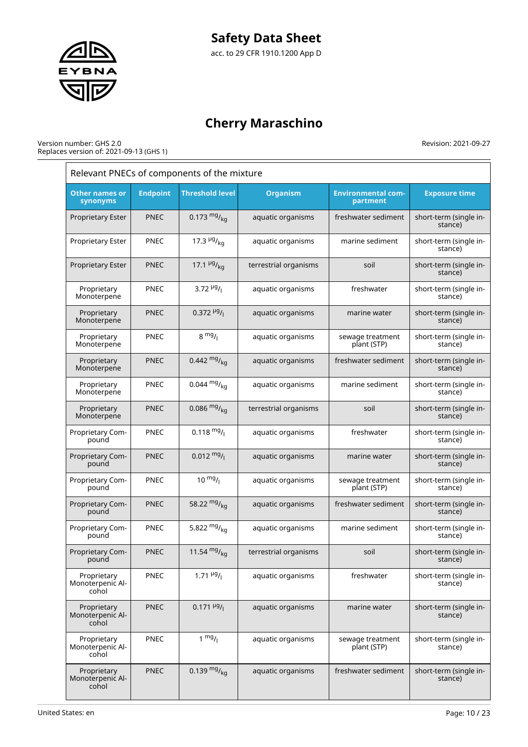

# **Cherry Maraschino**

#### Version number: GHS 2.0 Replaces version of: 2021-09-13 (GHS 1)

|                                          | Relevant PNECs of components of the mixture |                               |                       |                                       |                                   |  |  |
|------------------------------------------|---------------------------------------------|-------------------------------|-----------------------|---------------------------------------|-----------------------------------|--|--|
| <b>Other names or</b><br>synonyms        | <b>Endpoint</b>                             | <b>Threshold level</b>        | <b>Organism</b>       | <b>Environmental com-</b><br>partment | <b>Exposure time</b>              |  |  |
| <b>Proprietary Ester</b>                 | <b>PNEC</b>                                 | 0.173 $mg/kq$                 | aquatic organisms     | freshwater sediment                   | short-term (single in-<br>stance) |  |  |
| Proprietary Ester                        | <b>PNEC</b>                                 | 17.3 $\frac{\mu g}{\kappa q}$ | aquatic organisms     | marine sediment                       | short-term (single in-<br>stance) |  |  |
| Proprietary Ester                        | <b>PNEC</b>                                 | 17.1 $\frac{\mu g}{\kappa q}$ | terrestrial organisms | soil                                  | short-term (single in-<br>stance) |  |  |
| Proprietary<br>Monoterpene               | <b>PNEC</b>                                 | 3.72 $\frac{\mu g}{I}$        | aquatic organisms     | freshwater                            | short-term (single in-<br>stance) |  |  |
| Proprietary<br>Monoterpene               | <b>PNEC</b>                                 | $0.372 \frac{\mu g}{I}$       | aquatic organisms     | marine water                          | short-term (single in-<br>stance) |  |  |
| Proprietary<br>Monoterpene               | <b>PNEC</b>                                 | $8 \frac{mg}{l}$              | aquatic organisms     | sewage treatment<br>plant (STP)       | short-term (single in-<br>stance) |  |  |
| Proprietary<br>Monoterpene               | <b>PNEC</b>                                 | 0.442 $mg/kq$                 | aquatic organisms     | freshwater sediment                   | short-term (single in-<br>stance) |  |  |
| Proprietary<br>Monoterpene               | <b>PNEC</b>                                 | $0.044 \frac{mg}{ka}$         | aquatic organisms     | marine sediment                       | short-term (single in-<br>stance) |  |  |
| Proprietary<br>Monoterpene               | <b>PNEC</b>                                 | 0.086 $mg/kq$                 | terrestrial organisms | soil                                  | short-term (single in-<br>stance) |  |  |
| Proprietary Com-<br>pound                | PNEC                                        | $0.118 \text{ mg}$ /          | aquatic organisms     | freshwater                            | short-term (single in-<br>stance) |  |  |
| Proprietary Com-<br>pound                | <b>PNEC</b>                                 | $0.012 \frac{mg}{l}$          | aquatic organisms     | marine water                          | short-term (single in-<br>stance) |  |  |
| Proprietary Com-<br>pound                | <b>PNEC</b>                                 | $10 \frac{mg}{l}$             | aquatic organisms     | sewage treatment<br>plant (STP)       | short-term (single in-<br>stance) |  |  |
| Proprietary Com-<br>pound                | <b>PNEC</b>                                 | 58.22 $mg/kq$                 | aquatic organisms     | freshwater sediment                   | short-term (single in-<br>stance) |  |  |
| Proprietary Com-<br>pound                | <b>PNEC</b>                                 | 5.822 $mg/kq$                 | aquatic organisms     | marine sediment                       | short-term (single in-<br>stance) |  |  |
| Proprietary Com-<br>pound                | <b>PNEC</b>                                 | 11.54 $mg/kq$                 | terrestrial organisms | soil                                  | short-term (single in-<br>stance) |  |  |
| Proprietary<br>Monoterpenic Al-<br>cohol | <b>PNEC</b>                                 | $1.71 \frac{\mu g}{I}$        | aquatic organisms     | freshwater                            | short-term (single in-<br>stance) |  |  |
| Proprietary<br>Monoterpenic Al-<br>cohol | <b>PNEC</b>                                 | $0.171 \frac{\mu g}{I}$       | aquatic organisms     | marine water                          | short-term (single in-<br>stance) |  |  |
| Proprietary<br>Monoterpenic Al-<br>cohol | PNEC                                        | $1 \text{ mg}/1$              | aquatic organisms     | sewage treatment<br>plant (STP)       | short-term (single in-<br>stance) |  |  |
| Proprietary<br>Monoterpenic Al-<br>cohol | <b>PNEC</b>                                 | 0.139 $mg/kq$                 | aquatic organisms     | freshwater sediment                   | short-term (single in-<br>stance) |  |  |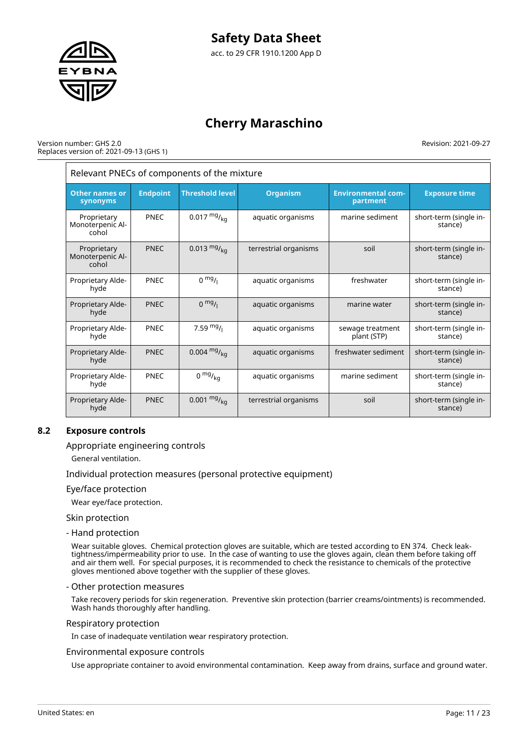

#### Version number: GHS 2.0 Replaces version of: 2021-09-13 (GHS 1)

Revision: 2021-09-27

| Relevant PNECs of components of the mixture |                 |                        |                       |                                       |                                   |  |
|---------------------------------------------|-----------------|------------------------|-----------------------|---------------------------------------|-----------------------------------|--|
| <b>Other names or</b><br>synonyms           | <b>Endpoint</b> | <b>Threshold level</b> | <b>Organism</b>       | <b>Environmental com-</b><br>partment | <b>Exposure time</b>              |  |
| Proprietary<br>Monoterpenic Al-<br>cohol    | <b>PNEC</b>     | $0.017 \frac{mg}{kg}$  | aquatic organisms     | marine sediment                       | short-term (single in-<br>stance) |  |
| Proprietary<br>Monoterpenic Al-<br>cohol    | <b>PNEC</b>     | 0.013 $mg/_{ka}$       | terrestrial organisms | soil                                  | short-term (single in-<br>stance) |  |
| Proprietary Alde-<br>hyde                   | <b>PNEC</b>     | $0 \frac{mg}{l}$       | aquatic organisms     | freshwater                            | short-term (single in-<br>stance) |  |
| Proprietary Alde-<br>hyde                   | <b>PNEC</b>     | $0$ mg/                | aquatic organisms     | marine water                          | short-term (single in-<br>stance) |  |
| Proprietary Alde-<br>hyde                   | PNEC            | 7.59 $mg/1$            | aquatic organisms     | sewage treatment<br>plant (STP)       | short-term (single in-<br>stance) |  |
| Proprietary Alde-<br>hyde                   | <b>PNEC</b>     | $0.004 \frac{mg}{ka}$  | aquatic organisms     | freshwater sediment                   | short-term (single in-<br>stance) |  |
| Proprietary Alde-<br>hyde                   | <b>PNEC</b>     | $0 \frac{mg}{kg}$      | aquatic organisms     | marine sediment                       | short-term (single in-<br>stance) |  |
| Proprietary Alde-<br>hyde                   | <b>PNEC</b>     | $0.001 \frac{mg}{kg}$  | terrestrial organisms | soil                                  | short-term (single in-<br>stance) |  |

### **8.2 Exposure controls**

### Appropriate engineering controls

General ventilation.

### Individual protection measures (personal protective equipment)

### Eye/face protection

Wear eye/face protection.

Skin protection

- Hand protection

Wear suitable gloves. Chemical protection gloves are suitable, which are tested according to EN 374. Check leaktightness/impermeability prior to use. In the case of wanting to use the gloves again, clean them before taking off and air them well. For special purposes, it is recommended to check the resistance to chemicals of the protective gloves mentioned above together with the supplier of these gloves.

### - Other protection measures

Take recovery periods for skin regeneration. Preventive skin protection (barrier creams/ointments) is recommended. Wash hands thoroughly after handling.

### Respiratory protection

In case of inadequate ventilation wear respiratory protection.

#### Environmental exposure controls

Use appropriate container to avoid environmental contamination. Keep away from drains, surface and ground water.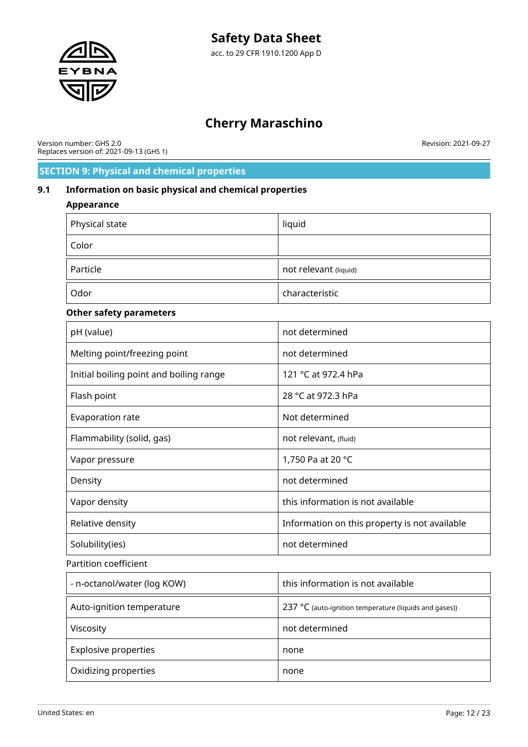

Version number: GHS 2.0 Replaces version of: 2021-09-13 (GHS 1) Revision: 2021-09-27

# **SECTION 9: Physical and chemical properties**

### **9.1 Information on basic physical and chemical properties**

### **Appearance**

| Physical state                          | liquid                                        |
|-----------------------------------------|-----------------------------------------------|
| Color                                   |                                               |
| Particle                                | not relevant (liquid)                         |
| Odor                                    | characteristic                                |
| <b>Other safety parameters</b>          |                                               |
| pH (value)                              | not determined                                |
| Melting point/freezing point            | not determined                                |
| Initial boiling point and boiling range | 121 °C at 972.4 hPa                           |
| Flash point                             | 28 °C at 972.3 hPa                            |
| Evaporation rate                        | Not determined                                |
| Flammability (solid, gas)               | not relevant, (fluid)                         |
| Vapor pressure                          | 1,750 Pa at 20 °C                             |
| Density                                 | not determined                                |
| Vapor density                           | this information is not available             |
| Relative density                        | Information on this property is not available |
| Solubility(ies)                         | not determined                                |
| <b>Partition coefficient</b>            |                                               |

- n-octanol/water (log KOW) and this information is not available Auto-ignition temperature 237 °C (auto-ignition temperature (liquids and gases)) Viscosity **Nitricial Contract Contract Contract Contract Contract Contract Contract Contract Contract Contract Contract Contract Contract Contract Contract Contract Contract Contract Contract Contract Contract Contract Con** Explosive properties none

Oxidizing properties none

United States: en Page: 12 / 23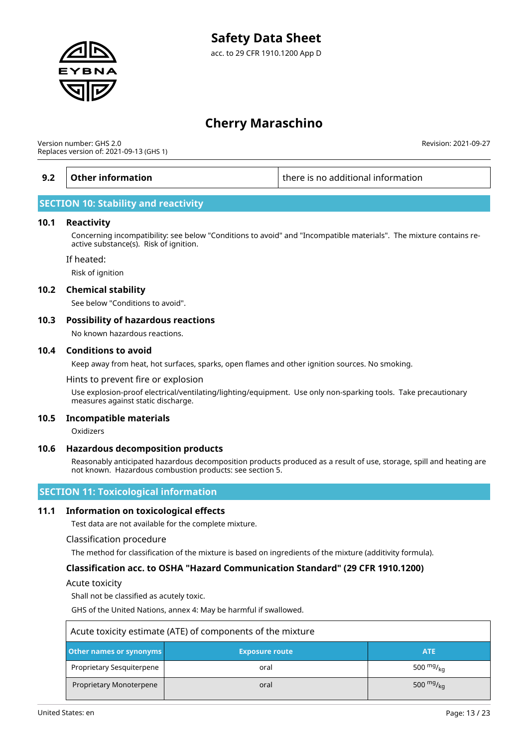

Version number: GHS 2.0 Replaces version of: 2021-09-13 (GHS 1)

**9.2 Other information there is no additional information** 

Revision: 2021-09-27

### **SECTION 10: Stability and reactivity**

#### **10.1 Reactivity**

Concerning incompatibility: see below "Conditions to avoid" and "Incompatible materials". The mixture contains reactive substance(s). Risk of ignition.

#### If heated:

Risk of ignition

#### **10.2 Chemical stability**

See below "Conditions to avoid".

### **10.3 Possibility of hazardous reactions**

No known hazardous reactions.

#### **10.4 Conditions to avoid**

Keep away from heat, hot surfaces, sparks, open flames and other ignition sources. No smoking.

Hints to prevent fire or explosion

Use explosion-proof electrical/ventilating/lighting/equipment. Use only non-sparking tools. Take precautionary measures against static discharge.

### **10.5 Incompatible materials**

Oxidizers

### **10.6 Hazardous decomposition products**

Reasonably anticipated hazardous decomposition products produced as a result of use, storage, spill and heating are not known. Hazardous combustion products: see section 5.

### **SECTION 11: Toxicological information**

### **11.1 Information on toxicological effects**

Test data are not available for the complete mixture.

#### Classification procedure

The method for classification of the mixture is based on ingredients of the mixture (additivity formula).

### **Classification acc. to OSHA "Hazard Communication Standard" (29 CFR 1910.1200)**

Acute toxicity

Shall not be classified as acutely toxic.

GHS of the United Nations, annex 4: May be harmful if swallowed.

| Acute toxicity estimate (ATE) of components of the mixture |                       |                    |
|------------------------------------------------------------|-----------------------|--------------------|
| Other names or synonyms                                    | <b>Exposure route</b> | <b>ATE</b>         |
| Proprietary Sesquiterpene                                  | oral                  | 500 $mgr_{ka}$     |
| Proprietary Monoterpene                                    | oral                  | 500 $mgr_{\rm kq}$ |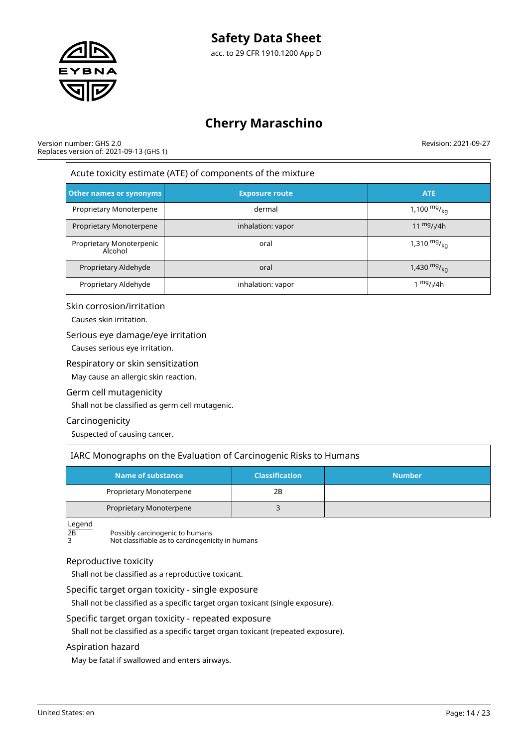

#### Version number: GHS 2.0 Replaces version of: 2021-09-13 (GHS 1)

Revision: 2021-09-27

| Acute toxicity estimate (ATE) of components of the mixture |                       |                       |  |
|------------------------------------------------------------|-----------------------|-----------------------|--|
| <b>Other names or synonyms</b>                             | <b>Exposure route</b> | <b>ATE</b>            |  |
| Proprietary Monoterpene                                    | dermal                | 1,100 $mg/_{ka}$      |  |
| Proprietary Monoterpene                                    | inhalation: vapor     | 11 $mg/1/4h$          |  |
| Proprietary Monoterpenic<br>Alcohol                        | oral                  | 1,310 $mg/_{ka}$      |  |
| Proprietary Aldehyde                                       | oral                  | 1,430 $mg/_{kq}$      |  |
| Proprietary Aldehyde                                       | inhalation: vapor     | 1 <sup>mg</sup> /ı/4h |  |

### Skin corrosion/irritation

Causes skin irritation.

### Serious eye damage/eye irritation

Causes serious eye irritation.

### Respiratory or skin sensitization

May cause an allergic skin reaction.

### Germ cell mutagenicity

Shall not be classified as germ cell mutagenic.

### Carcinogenicity

Suspected of causing cancer.

| IARC Monographs on the Evaluation of Carcinogenic Risks to Humans |    |  |  |
|-------------------------------------------------------------------|----|--|--|
| Name of substance<br><b>Classification</b><br><b>Number</b>       |    |  |  |
| Proprietary Monoterpene                                           | 2Β |  |  |
| Proprietary Monoterpene                                           |    |  |  |

 $L$ egend<br>2B

 $\overline{2B}$  Possibly carcinogenic to humans

3 Not classifiable as to carcinogenicity in humans

### Reproductive toxicity

Shall not be classified as a reproductive toxicant.

### Specific target organ toxicity - single exposure

Shall not be classified as a specific target organ toxicant (single exposure).

### Specific target organ toxicity - repeated exposure

Shall not be classified as a specific target organ toxicant (repeated exposure).

### Aspiration hazard

May be fatal if swallowed and enters airways.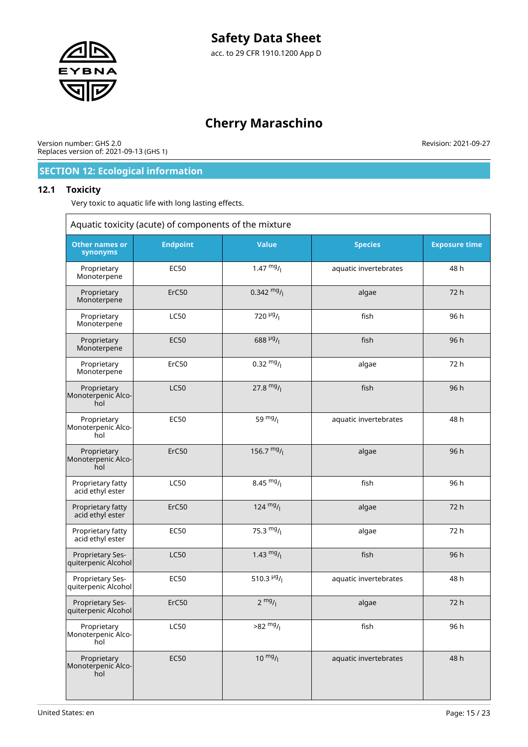

Version number: GHS 2.0 Replaces version of: 2021-09-13 (GHS 1) Revision: 2021-09-27

# **SECTION 12: Ecological information**

### **12.1 Toxicity**

Very toxic to aquatic life with long lasting effects.

| Aquatic toxicity (acute) of components of the mixture |                 |                           |                       |                      |
|-------------------------------------------------------|-----------------|---------------------------|-----------------------|----------------------|
| <b>Other names or</b><br>synonyms                     | <b>Endpoint</b> | <b>Value</b>              | <b>Species</b>        | <b>Exposure time</b> |
| Proprietary<br>Monoterpene                            | <b>EC50</b>     | $1.47 \frac{mg}{l}$       | aquatic invertebrates | 48 h                 |
| Proprietary<br>Monoterpene                            | ErC50           | $0.342 \frac{mg}{l}$      | algae                 | 72 h                 |
| Proprietary<br>Monoterpene                            | <b>LC50</b>     | 720 $\mu$ g/ <sub>1</sub> | fish                  | 96 h                 |
| Proprietary<br>Monoterpene                            | <b>EC50</b>     | 688 $\mu$ g/              | fish                  | 96 h                 |
| Proprietary<br>Monoterpene                            | ErC50           | $0.32 \frac{mg}{l}$       | algae                 | 72 h                 |
| Proprietary<br>Monoterpenic Alco-<br>hol              | <b>LC50</b>     | 27.8 $mg/$                | fish                  | 96 h                 |
| Proprietary<br>Monoterpenic Alco-<br>hol              | <b>EC50</b>     | 59 $mg/1$                 | aquatic invertebrates | 48 h                 |
| Proprietary<br>Monoterpenic Alco-<br>hol              | ErC50           | 156.7 $mg/$               | algae                 | 96 h                 |
| Proprietary fatty<br>acid ethyl ester                 | <b>LC50</b>     | $8.45 \frac{mg}{l}$       | fish                  | 96 h                 |
| Proprietary fatty<br>acid ethyl ester                 | ErC50           | $124 \frac{mg}{l}$        | algae                 | 72 h                 |
| Proprietary fatty<br>acid ethyl ester                 | <b>EC50</b>     | 75.3 $mg/1$               | algae                 | 72 h                 |
| Proprietary Ses-<br>quiterpenic Alcohol               | <b>LC50</b>     | 1.43 $mg/$                | fish                  | 96 h                 |
| Proprietary Ses-<br>quiterpenic Alcohol               | <b>EC50</b>     | 510.3 $\frac{\mu g}{I}$   | aquatic invertebrates | 48 h                 |
| Proprietary Ses-<br>quiterpenic Alcohol               | ErC50           | $2 \frac{mg}{l}$          | algae                 | 72h                  |
| Proprietary<br>Monoterpenic Alco-<br>hol              | LC50            | $>82 \frac{mg}{l}$        | fish                  | 96 h                 |
| Proprietary<br>Monoterpenic Alco-<br>hol              | <b>EC50</b>     | $10^{mg}$ /               | aquatic invertebrates | 48 h                 |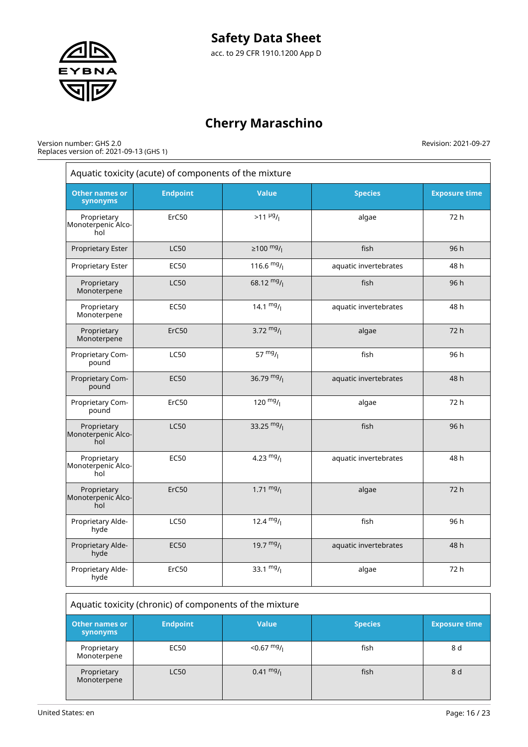

Version number: GHS 2.0 Replaces version of: 2021-09-13 (GHS 1)

| Other names or<br>synonyms               | <b>Endpoint</b> | <b>Value</b>            | <b>Species</b>        | <b>Exposure time</b> |
|------------------------------------------|-----------------|-------------------------|-----------------------|----------------------|
| Proprietary<br>Monoterpenic Alco-<br>hol | ErC50           | $>11 \frac{\mu g}{I}$   | algae                 | 72 h                 |
| Proprietary Ester                        | <b>LC50</b>     | ≥100 $mg/$ <sub> </sub> | fish                  | 96 h                 |
| Proprietary Ester                        | <b>EC50</b>     | 116.6 $mg/$             | aquatic invertebrates | 48 h                 |
| Proprietary<br>Monoterpene               | <b>LC50</b>     | 68.12 $mg/$             | fish                  | 96 h                 |
| Proprietary<br>Monoterpene               | <b>EC50</b>     | 14.1 $mg/1$             | aquatic invertebrates | 48 h                 |
| Proprietary<br>Monoterpene               | ErC50           | 3.72 $mg/$              | algae                 | 72 h                 |
| Proprietary Com-<br>pound                | <b>LC50</b>     | 57 $mg/1$               | fish                  | 96 h                 |
| Proprietary Com-<br>pound                | <b>EC50</b>     | 36.79 $mg/$             | aquatic invertebrates | 48 h                 |
| Proprietary Com-<br>pound                | ErC50           | $120 \frac{mg}{l}$      | algae                 | 72 h                 |
| Proprietary<br>Monoterpenic Alco-<br>hol | <b>LC50</b>     | 33.25 $mg/$             | fish                  | 96 h                 |
| Proprietary<br>Monoterpenic Alco-<br>hol | <b>EC50</b>     | 4.23 $mg/1$             | aquatic invertebrates | 48 h                 |
| Proprietary<br>Monoterpenic Alco-<br>hol | ErC50           | $1.71 \frac{mg}{l}$     | algae                 | 72 h                 |
| Proprietary Alde-<br>hyde                | <b>LC50</b>     | 12.4 $mg/1$             | fish                  | 96 h                 |
| Proprietary Alde-<br>hyde                | <b>EC50</b>     | 19.7 $mg/$              | aquatic invertebrates | 48 h                 |
| Proprietary Alde-<br>hyde                | ErC50           | 33.1 $mg/1$             | algae                 | 72 h                 |

| Other names or<br>synonyms | <b>Endpoint</b> | <b>Value</b>        | <b>Species</b> | <b>Exposure time</b> |
|----------------------------|-----------------|---------------------|----------------|----------------------|
| Proprietary<br>Monoterpene | EC50            | $<$ 0.67 mg/        | fish           | 8 d                  |
| Proprietary<br>Monoterpene | <b>LC50</b>     | $0.41 \frac{mg}{l}$ | fish           | 8 d                  |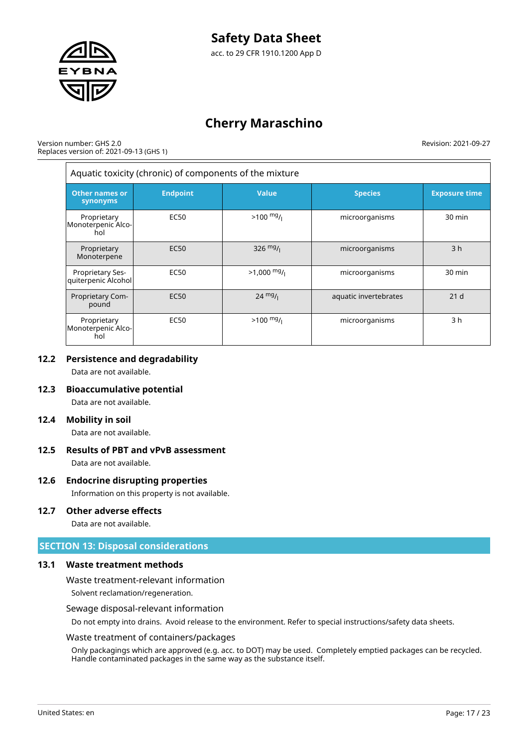

Version number: GHS 2.0 Replaces version of: 2021-09-13 (GHS 1) Revision: 2021-09-27

| Aquatic toxicity (chronic) of components of the mixture |                  |                   |                       |                      |
|---------------------------------------------------------|------------------|-------------------|-----------------------|----------------------|
| <b>Other names or</b><br>synonyms                       | <b>Endpoint</b>  | Value             | <b>Species</b>        | <b>Exposure time</b> |
| Proprietary<br>Monoterpenic Alco-<br>hol                | <b>EC50</b>      | $>100$ mg/        | microorganisms        | 30 min               |
| Proprietary<br>Monoterpene                              | <b>EC50</b>      | 326 $mg/$         | microorganisms        | 3 <sub>h</sub>       |
| Proprietary Ses-<br>quiterpenic Alcohol                 | <b>EC50</b>      | $>1,000$ mg/      | microorganisms        | 30 min               |
| Proprietary Com-<br>pound                               | EC <sub>50</sub> | $24 \frac{mg}{l}$ | aquatic invertebrates | 21 <sub>d</sub>      |
| Proprietary<br>Monoterpenic Alco-<br>hol                | <b>EC50</b>      | $>100$ mg/        | microorganisms        | 3 h                  |

### **12.2 Persistence and degradability**

Data are not available.

### **12.3 Bioaccumulative potential**

Data are not available.

### **12.4 Mobility in soil**

Data are not available.

# **12.5 Results of PBT and vPvB assessment**

Data are not available.

### **12.6 Endocrine disrupting properties**

Information on this property is not available.

### **12.7 Other adverse effects**

Data are not available.

### **SECTION 13: Disposal considerations**

### **13.1 Waste treatment methods**

Waste treatment-relevant information

Solvent reclamation/regeneration.

### Sewage disposal-relevant information

Do not empty into drains. Avoid release to the environment. Refer to special instructions/safety data sheets.

### Waste treatment of containers/packages

Only packagings which are approved (e.g. acc. to DOT) may be used. Completely emptied packages can be recycled. Handle contaminated packages in the same way as the substance itself.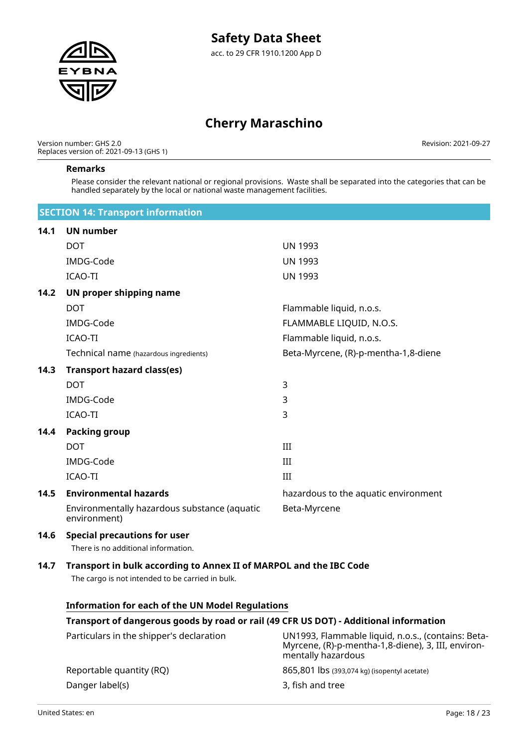

Version number: GHS 2.0 Replaces version of: 2021-09-13 (GHS 1) Revision: 2021-09-27

#### **Remarks**

Please consider the relevant national or regional provisions. Waste shall be separated into the categories that can be handled separately by the local or national waste management facilities.

|      | <b>SECTION 14: Transport information</b>                                                                               |                                      |
|------|------------------------------------------------------------------------------------------------------------------------|--------------------------------------|
| 14.1 | <b>UN number</b>                                                                                                       |                                      |
|      | <b>DOT</b>                                                                                                             | <b>UN 1993</b>                       |
|      | IMDG-Code                                                                                                              | <b>UN 1993</b>                       |
|      | <b>ICAO-TI</b>                                                                                                         | <b>UN 1993</b>                       |
| 14.2 | UN proper shipping name                                                                                                |                                      |
|      | <b>DOT</b>                                                                                                             | Flammable liquid, n.o.s.             |
|      | IMDG-Code                                                                                                              | FLAMMABLE LIQUID, N.O.S.             |
|      | <b>ICAO-TI</b>                                                                                                         | Flammable liquid, n.o.s.             |
|      | Technical name (hazardous ingredients)                                                                                 | Beta-Myrcene, (R)-p-mentha-1,8-diene |
| 14.3 | <b>Transport hazard class(es)</b>                                                                                      |                                      |
|      | <b>DOT</b>                                                                                                             | 3                                    |
|      | IMDG-Code                                                                                                              | 3                                    |
|      | <b>ICAO-TI</b>                                                                                                         | 3                                    |
| 14.4 | <b>Packing group</b>                                                                                                   |                                      |
|      | <b>DOT</b>                                                                                                             | III                                  |
|      | IMDG-Code                                                                                                              | III                                  |
|      | <b>ICAO-TI</b>                                                                                                         | III                                  |
| 14.5 | <b>Environmental hazards</b>                                                                                           | hazardous to the aquatic environment |
|      | Environmentally hazardous substance (aquatic<br>environment)                                                           | Beta-Myrcene                         |
| 14.6 | <b>Special precautions for user</b><br>There is no additional information.                                             |                                      |
| 14.7 | Transport in bulk according to Annex II of MARPOL and the IBC Code<br>The cargo is not intended to be carried in bulk. |                                      |

### **Information for each of the UN Model Regulations**

### **Transport of dangerous goods by road or rail (49 CFR US DOT) - Additional information**

| Particulars in the shipper's declaration | UN1993, Flammable liquid, n.o.s., (contains: Beta-<br>Myrcene, (R)-p-mentha-1,8-diene), 3, III, environ-<br>mentally hazardous |
|------------------------------------------|--------------------------------------------------------------------------------------------------------------------------------|
| Reportable quantity (RQ)                 | 865,801 lbs (393,074 kg) (isopentyl acetate)                                                                                   |
| Danger label(s)                          | 3, fish and tree                                                                                                               |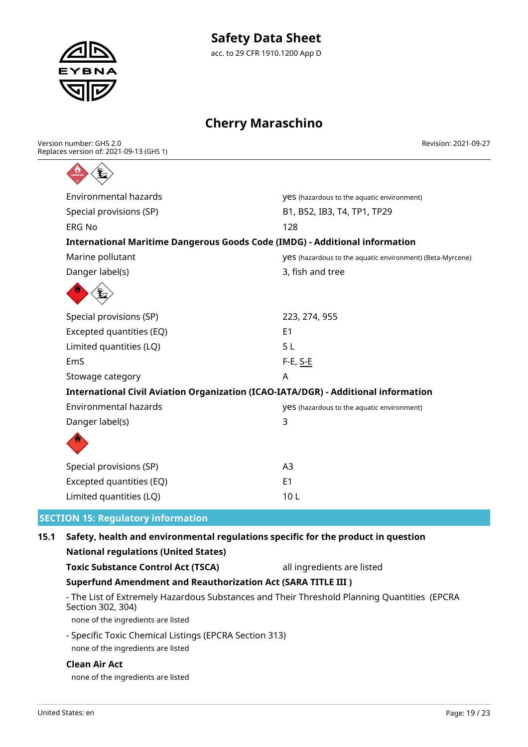

Revision: 2021-09-27

| Version number: GHS 2.0                 |
|-----------------------------------------|
| Replaces version of: 2021-09-13 (GHS 1) |
|                                         |



| Environmental hazards                                                              | <b>VeS</b> (hazardous to the aquatic environment)         |
|------------------------------------------------------------------------------------|-----------------------------------------------------------|
| Special provisions (SP)                                                            | B1, B52, IB3, T4, TP1, TP29                               |
| <b>ERG No</b>                                                                      | 128                                                       |
| <b>International Maritime Dangerous Goods Code (IMDG) - Additional information</b> |                                                           |
| Marine pollutant                                                                   | VeS (hazardous to the aquatic environment) (Beta-Myrcene) |
| Danger label(s)                                                                    | 3, fish and tree                                          |
|                                                                                    |                                                           |
| Special provisions (SP)                                                            | 223, 274, 955                                             |
| Excepted quantities (EQ)                                                           | E <sub>1</sub>                                            |
| Limited quantities (LQ)                                                            | 5L                                                        |
| EmS                                                                                | $F-E$ , S-E                                               |
| Stowage category                                                                   | Α                                                         |
| International Civil Aviation Organization (ICAO-IATA/DGR) - Additional information |                                                           |
| <b>Environmental hazards</b>                                                       | <b>yes</b> (hazardous to the aquatic environment)         |
| Danger label(s)                                                                    | 3                                                         |
|                                                                                    |                                                           |
| Special provisions (SP)                                                            | A <sub>3</sub>                                            |
| Excepted quantities (EQ)                                                           | E1                                                        |
| Limited quantities (LQ)                                                            | 10L                                                       |
| <b>ON 15: Regulatory information</b>                                               |                                                           |

# **15.1 Safety, health and environmental regulations specific for the product in question**

| <b>National regulations (United States)</b>                                                                      |                            |  |
|------------------------------------------------------------------------------------------------------------------|----------------------------|--|
| <b>Toxic Substance Control Act (TSCA)</b>                                                                        | all ingredients are listed |  |
| <b>Superfund Amendment and Reauthorization Act (SARA TITLE III )</b>                                             |                            |  |
| - The List of Extremely Hazardous Substances and Their Threshold Planning Quantities (EPCRA<br>Section 302, 304) |                            |  |
| none of the ingredients are listed                                                                               |                            |  |
| - Specific Toxic Chemical Listings (EPCRA Section 313)                                                           |                            |  |

# none of the ingredients are listed

### **Clean Air Act**

none of the ingredients are listed

**SECTI**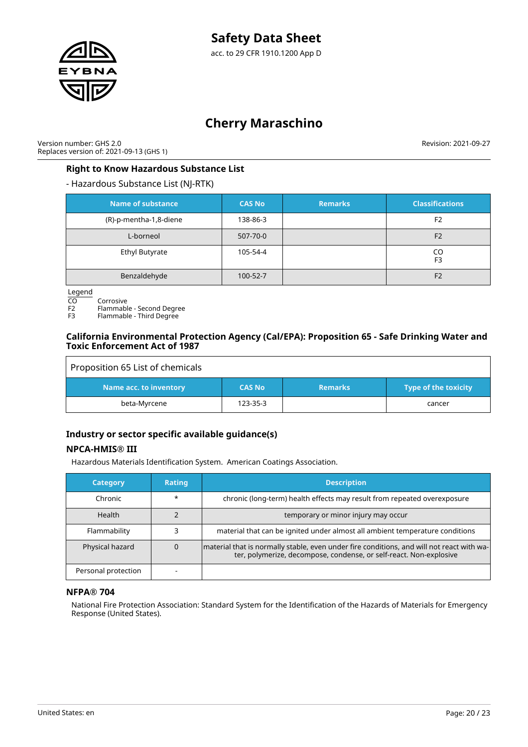

Version number: GHS 2.0 Replaces version of: 2021-09-13 (GHS 1) Revision: 2021-09-27

### **Right to Know Hazardous Substance List**

### - Hazardous Substance List (NJ-RTK)

| <b>Name of substance</b> | <b>CAS No</b> | <b>Remarks</b> | <b>Classifications</b> |
|--------------------------|---------------|----------------|------------------------|
| (R)-p-mentha-1,8-diene   | 138-86-3      |                | F <sub>2</sub>         |
| L-borneol                | 507-70-0      |                | F <sub>2</sub>         |
| <b>Ethyl Butyrate</b>    | 105-54-4      |                | CO<br>F <sub>3</sub>   |
| Benzaldehyde             | 100-52-7      |                | F <sub>2</sub>         |

Legend

CO Corrosive<br>F2 Flammabl

F2 Flammable - Second Degree<br>F3 Flammable - Third Degree

Flammable - Third Degree

### **California Environmental Protection Agency (Cal/EPA): Proposition 65 - Safe Drinking Water and Toxic Enforcement Act of 1987**

| Proposition 65 List of chemicals |               |                |                             |
|----------------------------------|---------------|----------------|-----------------------------|
| Name acc. to inventory           | <b>CAS No</b> | <b>Remarks</b> | <b>Type of the toxicity</b> |
| beta-Myrcene                     | 123-35-3      |                | cancer                      |

# **Industry or sector specific available guidance(s)**

### **NPCA-HMIS® III**

Hazardous Materials Identification System. American Coatings Association.

| <b>Category</b>     | <b>Rating</b> | <b>Description</b>                                                                                                                                              |
|---------------------|---------------|-----------------------------------------------------------------------------------------------------------------------------------------------------------------|
| Chronic             | $\star$       | chronic (long-term) health effects may result from repeated overexposure                                                                                        |
| Health              |               | temporary or minor injury may occur                                                                                                                             |
| Flammability        |               | material that can be ignited under almost all ambient temperature conditions                                                                                    |
| Physical hazard     |               | material that is normally stable, even under fire conditions, and will not react with wa-<br>ter, polymerize, decompose, condense, or self-react. Non-explosive |
| Personal protection |               |                                                                                                                                                                 |

### **NFPA® 704**

National Fire Protection Association: Standard System for the Identification of the Hazards of Materials for Emergency Response (United States).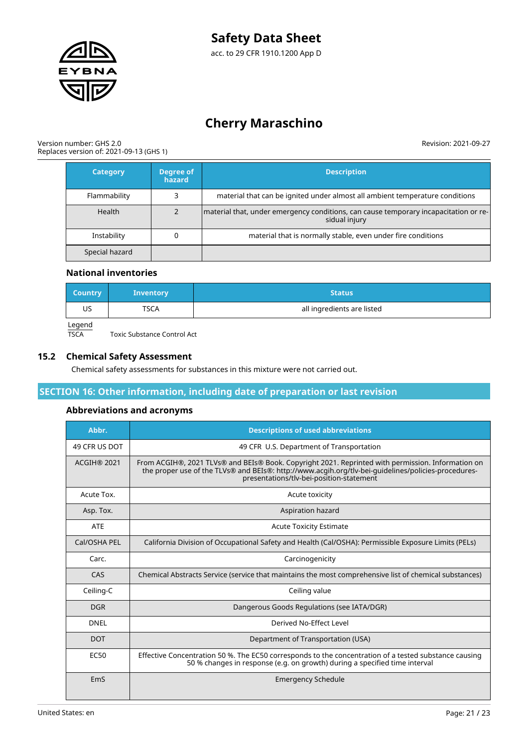

Version number: GHS 2.0 Replaces version of: 2021-09-13 (GHS 1) Revision: 2021-09-27

| <b>Category</b> | Degree of<br>hazard | <b>Description</b>                                                                                    |
|-----------------|---------------------|-------------------------------------------------------------------------------------------------------|
| Flammability    |                     | material that can be ignited under almost all ambient temperature conditions                          |
| Health          |                     | material that, under emergency conditions, can cause temporary incapacitation or re-<br>sidual injury |
| Instability     |                     | material that is normally stable, even under fire conditions                                          |
| Special hazard  |                     |                                                                                                       |

### **National inventories**

| Country   | <b>Inventory</b> | <b>Status</b>              |
|-----------|------------------|----------------------------|
| US        | <b>TSCA</b>      | all ingredients are listed |
| $I$ coord |                  |                            |

Legend<br>TSCA

**15.2 Chemical Safety Assessment**

Chemical safety assessments for substances in this mixture were not carried out.

### **SECTION 16: Other information, including date of preparation or last revision**

### **Abbreviations and acronyms**

Toxic Substance Control Act

| Abbr.              | <b>Descriptions of used abbreviations</b>                                                                                                                                                                                                            |
|--------------------|------------------------------------------------------------------------------------------------------------------------------------------------------------------------------------------------------------------------------------------------------|
| 49 CFR US DOT      | 49 CFR U.S. Department of Transportation                                                                                                                                                                                                             |
| <b>ACGIH® 2021</b> | From ACGIH®, 2021 TLVs® and BEIs® Book. Copyright 2021. Reprinted with permission. Information on<br>the proper use of the TLVs® and BEIs®: http://www.acgih.org/tlv-bei-guidelines/policies-procedures-<br>presentations/tlv-bei-position-statement |
| Acute Tox.         | Acute toxicity                                                                                                                                                                                                                                       |
| Asp. Tox.          | Aspiration hazard                                                                                                                                                                                                                                    |
| <b>ATE</b>         | <b>Acute Toxicity Estimate</b>                                                                                                                                                                                                                       |
| Cal/OSHA PEL       | California Division of Occupational Safety and Health (Cal/OSHA): Permissible Exposure Limits (PELs)                                                                                                                                                 |
| Carc.              | Carcinogenicity                                                                                                                                                                                                                                      |
| CAS                | Chemical Abstracts Service (service that maintains the most comprehensive list of chemical substances)                                                                                                                                               |
| Ceiling-C          | Ceiling value                                                                                                                                                                                                                                        |
| <b>DGR</b>         | Dangerous Goods Regulations (see IATA/DGR)                                                                                                                                                                                                           |
| <b>DNEL</b>        | Derived No-Effect Level                                                                                                                                                                                                                              |
| <b>DOT</b>         | Department of Transportation (USA)                                                                                                                                                                                                                   |
| <b>EC50</b>        | Effective Concentration 50 %. The EC50 corresponds to the concentration of a tested substance causing<br>50 % changes in response (e.g. on growth) during a specified time interval                                                                  |
| EmS                | <b>Emergency Schedule</b>                                                                                                                                                                                                                            |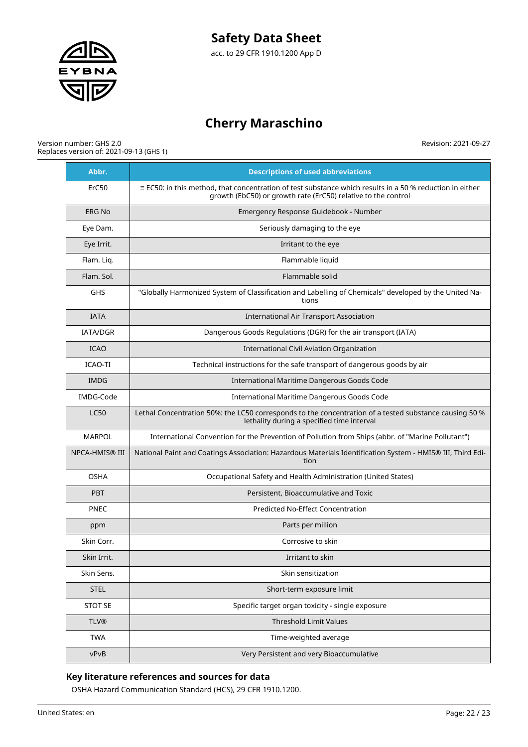

#### Version number: GHS 2.0 Replaces version of: 2021-09-13 (GHS 1)

Revision: 2021-09-27

| Abbr.                 | <b>Descriptions of used abbreviations</b>                                                                                                                                        |
|-----------------------|----------------------------------------------------------------------------------------------------------------------------------------------------------------------------------|
| ErC50                 | $\equiv$ EC50: in this method, that concentration of test substance which results in a 50 % reduction in either<br>growth (EbC50) or growth rate (ErC50) relative to the control |
| <b>ERG No</b>         | Emergency Response Guidebook - Number                                                                                                                                            |
| Eye Dam.              | Seriously damaging to the eye                                                                                                                                                    |
| Eye Irrit.            | Irritant to the eye                                                                                                                                                              |
| Flam. Liq.            | Flammable liquid                                                                                                                                                                 |
| Flam. Sol.            | Flammable solid                                                                                                                                                                  |
| GHS                   | "Globally Harmonized System of Classification and Labelling of Chemicals" developed by the United Na-<br>tions                                                                   |
| <b>IATA</b>           | <b>International Air Transport Association</b>                                                                                                                                   |
| <b>IATA/DGR</b>       | Dangerous Goods Regulations (DGR) for the air transport (IATA)                                                                                                                   |
| <b>ICAO</b>           | International Civil Aviation Organization                                                                                                                                        |
| ICAO-TI               | Technical instructions for the safe transport of dangerous goods by air                                                                                                          |
| IMDG                  | International Maritime Dangerous Goods Code                                                                                                                                      |
| IMDG-Code             | International Maritime Dangerous Goods Code                                                                                                                                      |
| <b>LC50</b>           | Lethal Concentration 50%: the LC50 corresponds to the concentration of a tested substance causing 50 %<br>lethality during a specified time interval                             |
| <b>MARPOL</b>         | International Convention for the Prevention of Pollution from Ships (abbr. of "Marine Pollutant")                                                                                |
| <b>NPCA-HMIS® III</b> | National Paint and Coatings Association: Hazardous Materials Identification System - HMIS® III, Third Edi-<br>tion                                                               |
| <b>OSHA</b>           | Occupational Safety and Health Administration (United States)                                                                                                                    |
| <b>PBT</b>            | Persistent, Bioaccumulative and Toxic                                                                                                                                            |
| <b>PNEC</b>           | <b>Predicted No-Effect Concentration</b>                                                                                                                                         |
| ppm                   | Parts per million                                                                                                                                                                |
| Skin Corr.            | Corrosive to skin                                                                                                                                                                |
| Skin Irrit.           | Irritant to skin                                                                                                                                                                 |
| Skin Sens.            | Skin sensitization                                                                                                                                                               |
| <b>STEL</b>           | Short-term exposure limit                                                                                                                                                        |
| <b>STOT SE</b>        | Specific target organ toxicity - single exposure                                                                                                                                 |
| <b>TLV®</b>           | Threshold Limit Values                                                                                                                                                           |
| <b>TWA</b>            | Time-weighted average                                                                                                                                                            |
| vPvB                  | Very Persistent and very Bioaccumulative                                                                                                                                         |

### **Key literature references and sources for data**

OSHA Hazard Communication Standard (HCS), 29 CFR 1910.1200.